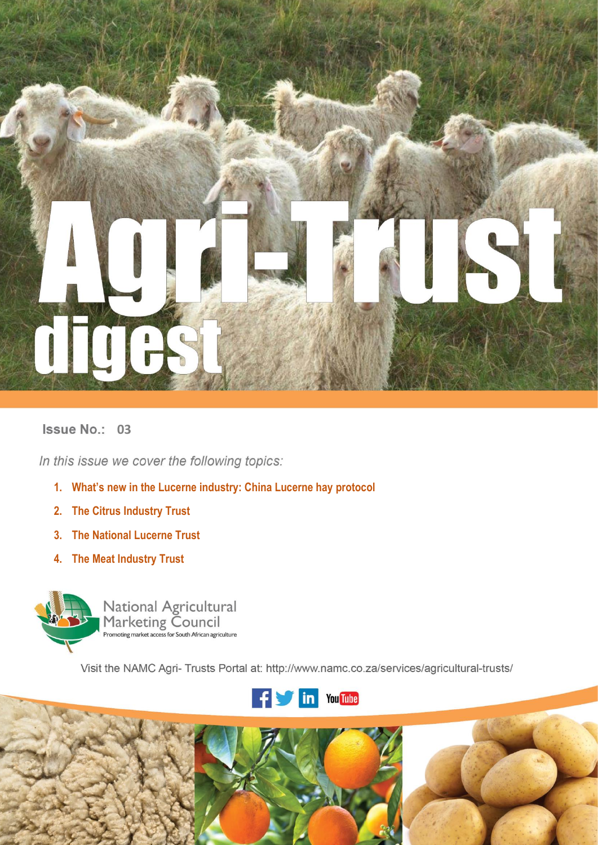

# **Issue No.: 03**

In this issue we cover the following topics:

- **1. What's new in the Lucerne industry: China Lucerne hay protocol**
- **2. The Citrus Industry Trust**
- **3. The National Lucerne Trust**
- **4. The Meat Industry Trust**



National Agricultural<br>Marketing Council<br>Promoting market access for South African agriculture

Visit the NAMC Agri- Trusts Portal at: http://www.namc.co.za/services/agricultural-trusts/



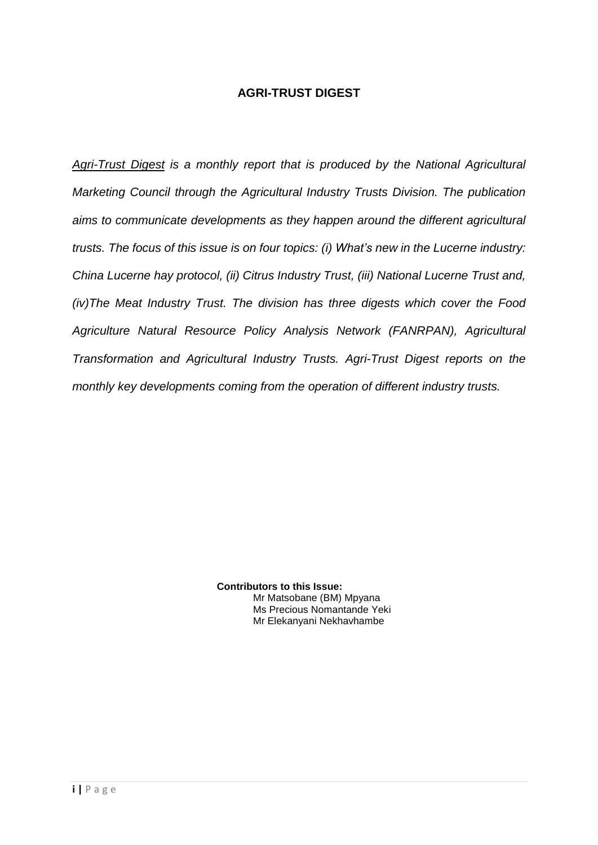# **AGRI-TRUST DIGEST**

*Agri-Trust Digest is a monthly report that is produced by the National Agricultural Marketing Council through the Agricultural Industry Trusts Division. The publication aims to communicate developments as they happen around the different agricultural trusts. The focus of this issue is on four topics: (i) What's new in the Lucerne industry: China Lucerne hay protocol, (ii) Citrus Industry Trust, (iii) National Lucerne Trust and, (iv)The Meat Industry Trust. The division has three digests which cover the Food Agriculture Natural Resource Policy Analysis Network (FANRPAN), Agricultural Transformation and Agricultural Industry Trusts. Agri-Trust Digest reports on the monthly key developments coming from the operation of different industry trusts.*

> **Contributors to this Issue:** Mr Matsobane (BM) Mpyana Ms Precious Nomantande Yeki Mr Elekanyani Nekhavhambe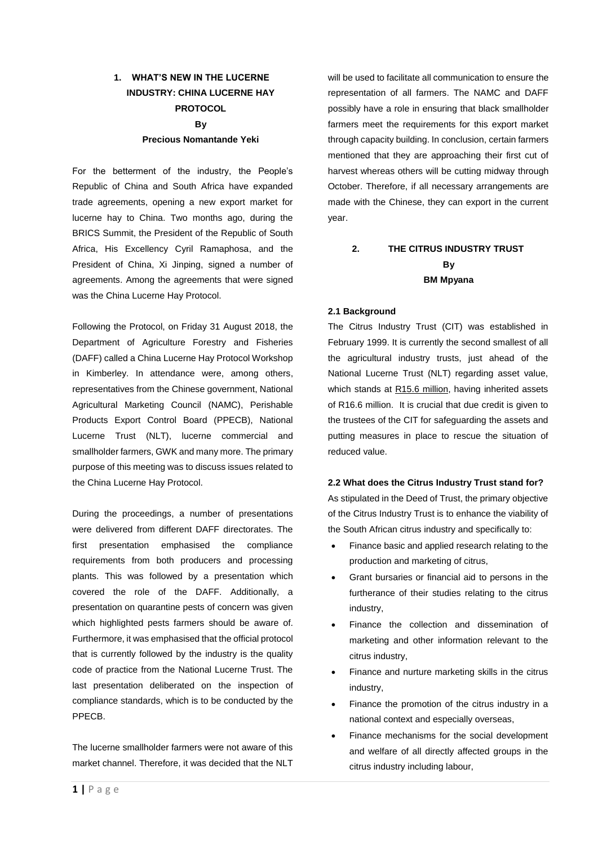# **1. WHAT'S NEW IN THE LUCERNE INDUSTRY: CHINA LUCERNE HAY PROTOCOL By Precious Nomantande Yeki**

# For the betterment of the industry, the People's Republic of China and South Africa have expanded trade agreements, opening a new export market for lucerne hay to China. Two months ago, during the BRICS Summit, the President of the Republic of South Africa, His Excellency Cyril Ramaphosa, and the President of China, Xi Jinping, signed a number of agreements. Among the agreements that were signed was the China Lucerne Hay Protocol.

Following the Protocol, on Friday 31 August 2018, the Department of Agriculture Forestry and Fisheries (DAFF) called a China Lucerne Hay Protocol Workshop in Kimberley. In attendance were, among others, representatives from the Chinese government, National Agricultural Marketing Council (NAMC), Perishable Products Export Control Board (PPECB), National Lucerne Trust (NLT), lucerne commercial and smallholder farmers, GWK and many more. The primary purpose of this meeting was to discuss issues related to the China Lucerne Hay Protocol.

During the proceedings, a number of presentations were delivered from different DAFF directorates. The first presentation emphasised the compliance requirements from both producers and processing plants. This was followed by a presentation which covered the role of the DAFF. Additionally, a presentation on quarantine pests of concern was given which highlighted pests farmers should be aware of. Furthermore, it was emphasised that the official protocol that is currently followed by the industry is the quality code of practice from the National Lucerne Trust. The last presentation deliberated on the inspection of compliance standards, which is to be conducted by the PPECB.

The lucerne smallholder farmers were not aware of this market channel. Therefore, it was decided that the NLT will be used to facilitate all communication to ensure the representation of all farmers. The NAMC and DAFF possibly have a role in ensuring that black smallholder farmers meet the requirements for this export market through capacity building. In conclusion, certain farmers mentioned that they are approaching their first cut of harvest whereas others will be cutting midway through October. Therefore, if all necessary arrangements are made with the Chinese, they can export in the current year.

# **2. THE CITRUS INDUSTRY TRUST By BM Mpyana**

### **2.1 Background**

The Citrus Industry Trust (CIT) was established in February 1999. It is currently the second smallest of all the agricultural industry trusts, just ahead of the National Lucerne Trust (NLT) regarding asset value, which stands at R15.6 million, having inherited assets of R16.6 million. It is crucial that due credit is given to the trustees of the CIT for safeguarding the assets and putting measures in place to rescue the situation of reduced value.

### **2.2 What does the Citrus Industry Trust stand for?**

As stipulated in the Deed of Trust, the primary objective of the Citrus Industry Trust is to enhance the viability of the South African citrus industry and specifically to:

- Finance basic and applied research relating to the production and marketing of citrus,
- Grant bursaries or financial aid to persons in the furtherance of their studies relating to the citrus industry,
- Finance the collection and dissemination of marketing and other information relevant to the citrus industry,
- Finance and nurture marketing skills in the citrus industry,
- Finance the promotion of the citrus industry in a national context and especially overseas,
- Finance mechanisms for the social development and welfare of all directly affected groups in the citrus industry including labour,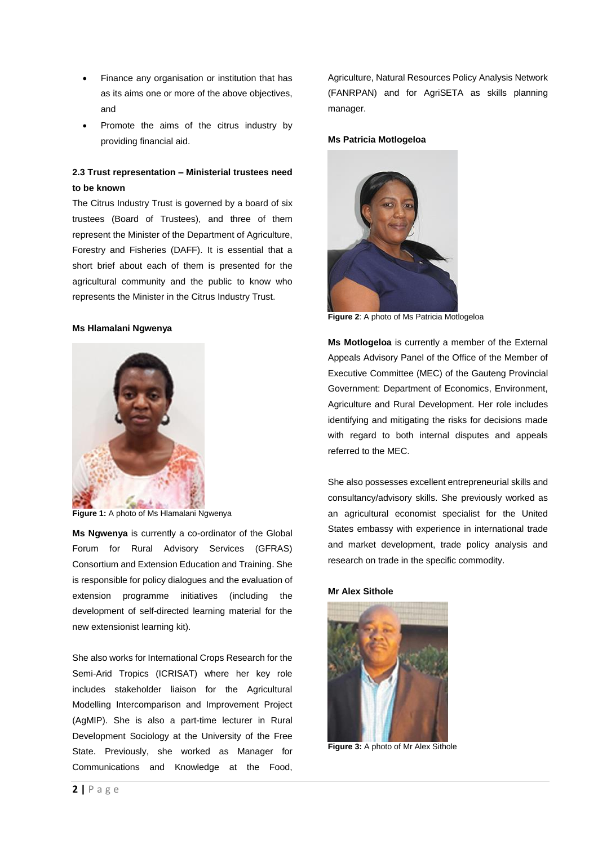- Finance any organisation or institution that has as its aims one or more of the above objectives, and
- Promote the aims of the citrus industry by providing financial aid.

## **2.3 Trust representation – Ministerial trustees need to be known**

The Citrus Industry Trust is governed by a board of six trustees (Board of Trustees), and three of them represent the Minister of the Department of Agriculture, Forestry and Fisheries (DAFF). It is essential that a short brief about each of them is presented for the agricultural community and the public to know who represents the Minister in the Citrus Industry Trust.

#### **Ms Hlamalani Ngwenya**



**Figure 1:** A photo of Ms Hlamalani Ngwenya

**Ms Ngwenya** is currently a co-ordinator of the Global Forum for Rural Advisory Services (GFRAS) Consortium and Extension Education and Training. She is responsible for policy dialogues and the evaluation of extension programme initiatives (including the development of self-directed learning material for the new extensionist learning kit).

She also works for International Crops Research for the Semi-Arid Tropics (ICRISAT) where her key role includes stakeholder liaison for the Agricultural Modelling Intercomparison and Improvement Project (AgMIP). She is also a part-time lecturer in Rural Development Sociology at the University of the Free State. Previously, she worked as Manager for Communications and Knowledge at the Food, Agriculture, Natural Resources Policy Analysis Network (FANRPAN) and for AgriSETA as skills planning manager.

#### **Ms Patricia Motlogeloa**



**Figure 2**: A photo of Ms Patricia Motlogeloa

**Ms Motlogeloa** is currently a member of the External Appeals Advisory Panel of the Office of the Member of Executive Committee (MEC) of the Gauteng Provincial Government: Department of Economics, Environment, Agriculture and Rural Development. Her role includes identifying and mitigating the risks for decisions made with regard to both internal disputes and appeals referred to the MEC.

She also possesses excellent entrepreneurial skills and consultancy/advisory skills. She previously worked as an agricultural economist specialist for the United States embassy with experience in international trade and market development, trade policy analysis and research on trade in the specific commodity.

#### **Mr Alex Sithole**



**Figure 3:** A photo of Mr Alex Sithole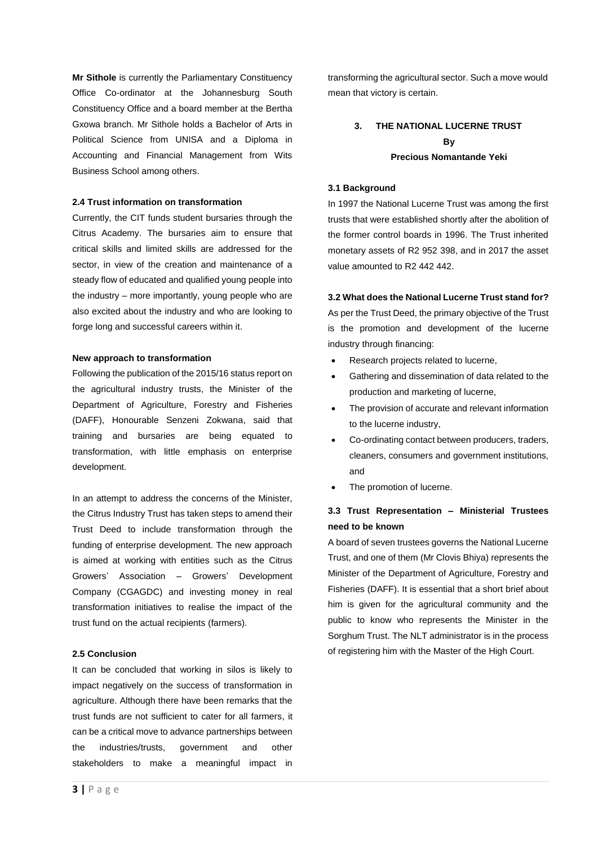**Mr Sithole** is currently the Parliamentary Constituency Office Co-ordinator at the Johannesburg South Constituency Office and a board member at the Bertha Gxowa branch. Mr Sithole holds a Bachelor of Arts in Political Science from UNISA and a Diploma in Accounting and Financial Management from Wits Business School among others.

### **2.4 Trust information on transformation**

Currently, the CIT funds student bursaries through the Citrus Academy. The bursaries aim to ensure that critical skills and limited skills are addressed for the sector, in view of the creation and maintenance of a steady flow of educated and qualified young people into the industry – more importantly, young people who are also excited about the industry and who are looking to forge long and successful careers within it.

### **New approach to transformation**

Following the publication of the 2015/16 status report on the agricultural industry trusts, the Minister of the Department of Agriculture, Forestry and Fisheries (DAFF), Honourable Senzeni Zokwana, said that training and bursaries are being equated to transformation, with little emphasis on enterprise development.

In an attempt to address the concerns of the Minister, the Citrus Industry Trust has taken steps to amend their Trust Deed to include transformation through the funding of enterprise development. The new approach is aimed at working with entities such as the Citrus Growers' Association – Growers' Development Company (CGAGDC) and investing money in real transformation initiatives to realise the impact of the trust fund on the actual recipients (farmers).

### **2.5 Conclusion**

It can be concluded that working in silos is likely to impact negatively on the success of transformation in agriculture. Although there have been remarks that the trust funds are not sufficient to cater for all farmers, it can be a critical move to advance partnerships between the industries/trusts, government and other stakeholders to make a meaningful impact in

transforming the agricultural sector. Such a move would mean that victory is certain.

## **3. THE NATIONAL LUCERNE TRUST By Precious Nomantande Yeki**

### **3.1 Background**

In 1997 the National Lucerne Trust was among the first trusts that were established shortly after the abolition of the former control boards in 1996. The Trust inherited monetary assets of R2 952 398, and in 2017 the asset value amounted to R2 442 442.

**3.2 What does the National Lucerne Trust stand for?**

As per the Trust Deed, the primary objective of the Trust is the promotion and development of the lucerne industry through financing:

- Research projects related to lucerne,
- Gathering and dissemination of data related to the production and marketing of lucerne,
- The provision of accurate and relevant information to the lucerne industry,
- Co-ordinating contact between producers, traders, cleaners, consumers and government institutions, and
- The promotion of lucerne.

### **3.3 Trust Representation – Ministerial Trustees need to be known**

A board of seven trustees governs the National Lucerne Trust, and one of them (Mr Clovis Bhiya) represents the Minister of the Department of Agriculture, Forestry and Fisheries (DAFF). It is essential that a short brief about him is given for the agricultural community and the public to know who represents the Minister in the Sorghum Trust. The NLT administrator is in the process of registering him with the Master of the High Court.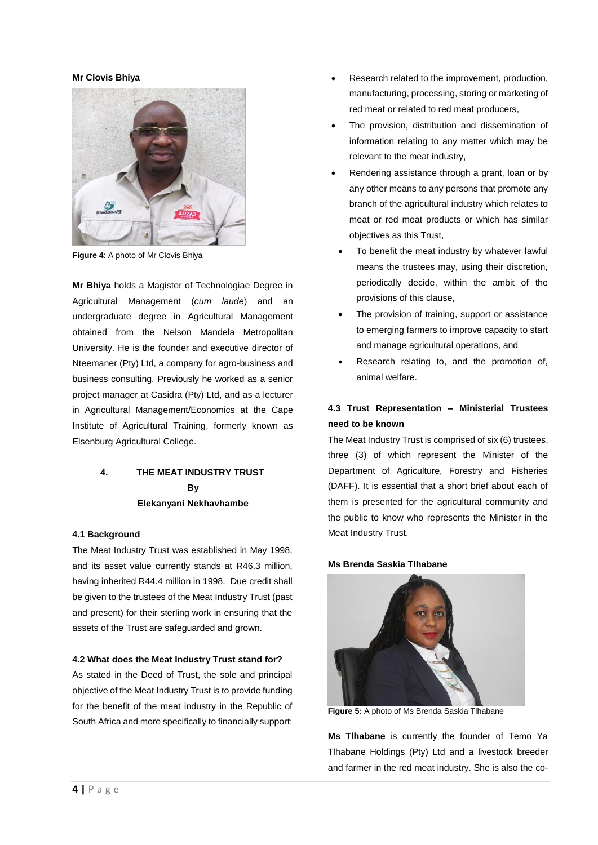### **Mr Clovis Bhiya**



**Figure 4**: A photo of Mr Clovis Bhiya

**Mr Bhiya** holds a Magister of Technologiae Degree in Agricultural Management (*cum laude*) and an undergraduate degree in Agricultural Management obtained from the Nelson Mandela Metropolitan University. He is the founder and executive director of Nteemaner (Pty) Ltd, a company for agro-business and business consulting. Previously he worked as a senior project manager at Casidra (Pty) Ltd, and as a lecturer in Agricultural Management/Economics at the Cape Institute of Agricultural Training, formerly known as Elsenburg Agricultural College.

# **4. THE MEAT INDUSTRY TRUST By Elekanyani Nekhavhambe**

#### **4.1 Background**

The Meat Industry Trust was established in May 1998, and its asset value currently stands at R46.3 million, having inherited R44.4 million in 1998. Due credit shall be given to the trustees of the Meat Industry Trust (past and present) for their sterling work in ensuring that the assets of the Trust are safeguarded and grown.

#### **4.2 What does the Meat Industry Trust stand for?**

As stated in the Deed of Trust, the sole and principal objective of the Meat Industry Trust is to provide funding for the benefit of the meat industry in the Republic of South Africa and more specifically to financially support:

- Research related to the improvement, production, manufacturing, processing, storing or marketing of red meat or related to red meat producers,
- The provision, distribution and dissemination of information relating to any matter which may be relevant to the meat industry,
- Rendering assistance through a grant, loan or by any other means to any persons that promote any branch of the agricultural industry which relates to meat or red meat products or which has similar objectives as this Trust,
- To benefit the meat industry by whatever lawful means the trustees may, using their discretion, periodically decide, within the ambit of the provisions of this clause,
- The provision of training, support or assistance to emerging farmers to improve capacity to start and manage agricultural operations, and
- Research relating to, and the promotion of, animal welfare.

### **4.3 Trust Representation – Ministerial Trustees need to be known**

The Meat Industry Trust is comprised of six (6) trustees, three (3) of which represent the Minister of the Department of Agriculture, Forestry and Fisheries (DAFF). It is essential that a short brief about each of them is presented for the agricultural community and the public to know who represents the Minister in the Meat Industry Trust.

### **Ms Brenda Saskia Tlhabane**



**Figure 5:** A photo of Ms Brenda Saskia Tlhabane

**Ms Tlhabane** is currently the founder of Temo Ya Tlhabane Holdings (Pty) Ltd and a livestock breeder and farmer in the red meat industry. She is also the co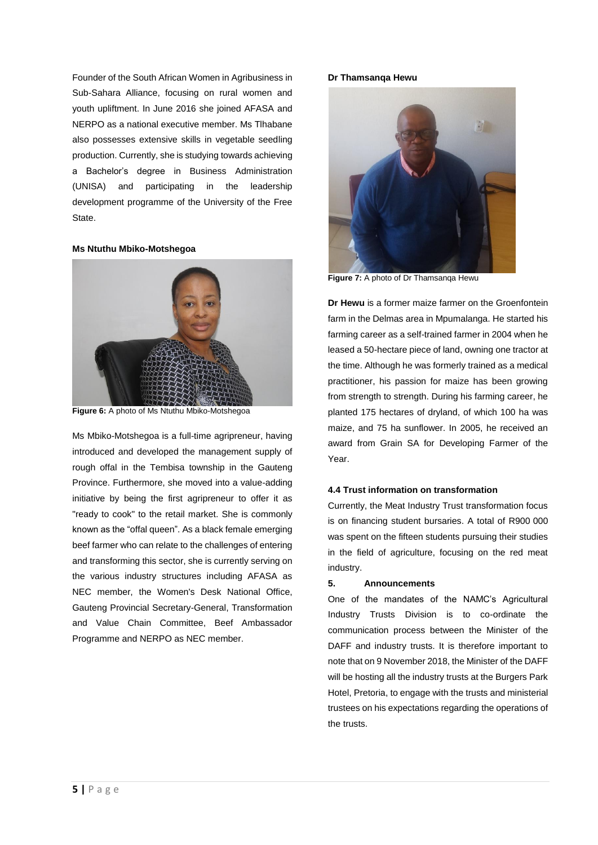Founder of the South African Women in Agribusiness in Sub-Sahara Alliance, focusing on rural women and youth upliftment. In June 2016 she joined AFASA and NERPO as a national executive member. Ms Tlhabane also possesses extensive skills in vegetable seedling production. Currently, she is studying towards achieving a Bachelor's degree in Business Administration (UNISA) and participating in the leadership development programme of the University of the Free State.

#### **Ms Ntuthu Mbiko-Motshegoa**



**Figure 6:** A photo of Ms Ntuthu Mbiko-Motshegoa

Ms Mbiko-Motshegoa is a full-time agripreneur, having introduced and developed the management supply of rough offal in the Tembisa township in the Gauteng Province. Furthermore, she moved into a value-adding initiative by being the first agripreneur to offer it as "ready to cook" to the retail market. She is commonly known as the "offal queen". As a black female emerging beef farmer who can relate to the challenges of entering and transforming this sector, she is currently serving on the various industry structures including AFASA as NEC member, the Women's Desk National Office, Gauteng Provincial Secretary-General, Transformation and Value Chain Committee, Beef Ambassador Programme and NERPO as NEC member.

#### **Dr Thamsanqa Hewu**



**Figure 7:** A photo of Dr Thamsanqa Hewu

**Dr Hewu** is a former maize farmer on the Groenfontein farm in the Delmas area in Mpumalanga. He started his farming career as a self-trained farmer in 2004 when he leased a 50-hectare piece of land, owning one tractor at the time. Although he was formerly trained as a medical practitioner, his passion for maize has been growing from strength to strength. During his farming career, he planted 175 hectares of dryland, of which 100 ha was maize, and 75 ha sunflower. In 2005, he received an award from Grain SA for Developing Farmer of the Year.

### **4.4 Trust information on transformation**

Currently, the Meat Industry Trust transformation focus is on financing student bursaries. A total of R900 000 was spent on the fifteen students pursuing their studies in the field of agriculture, focusing on the red meat industry.

### **5. Announcements**

One of the mandates of the NAMC's Agricultural Industry Trusts Division is to co-ordinate the communication process between the Minister of the DAFF and industry trusts. It is therefore important to note that on 9 November 2018, the Minister of the DAFF will be hosting all the industry trusts at the Burgers Park Hotel, Pretoria, to engage with the trusts and ministerial trustees on his expectations regarding the operations of the trusts.